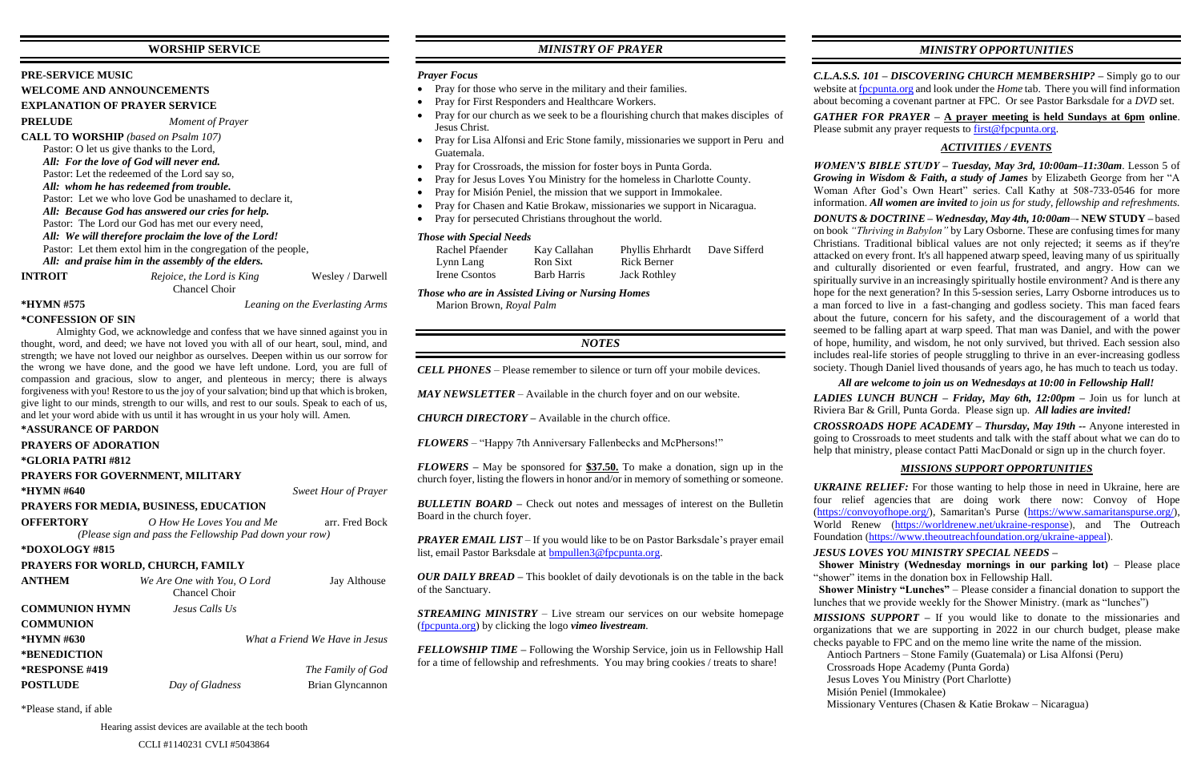## **WORSHIP SERVICE**

#### **PRE-SERVICE MUSIC**

**WELCOME AND ANNOUNCEMENTS**

#### **EXPLANATION OF PRAYER SERVICE**

**PRELUDE** *Moment of Prayer*

**CALL TO WORSHIP** *(based on Psalm 107)* Pastor: O let us give thanks to the Lord, *All: For the love of God will never end.* Pastor: Let the redeemed of the Lord say so, *All: whom he has redeemed from trouble.* Pastor: Let we who love God be unashamed to declare it, *All: Because God has answered our cries for help.* Pastor: The Lord our God has met our every need, *All: We will therefore proclaim the love of the Lord!* Pastor: Let them extol him in the congregation of the people, *All: and praise him in the assembly of the elders.*

**INTROIT** *Rejoice, the Lord is King* Wesley / Darwell

Chancel Choir

#### **\*HYMN #575** *Leaning on the Everlasting Arms*

**\*CONFESSION OF SIN**

Almighty God, we acknowledge and confess that we have sinned against you in thought, word, and deed; we have not loved you with all of our heart, soul, mind, and strength; we have not loved our neighbor as ourselves. Deepen within us our sorrow for the wrong we have done, and the good we have left undone. Lord, you are full of compassion and gracious, slow to anger, and plenteous in mercy; there is always forgiveness with you! Restore to us the joy of your salvation; bind up that which is broken, give light to our minds, strength to our wills, and rest to our souls. Speak to each of us, and let your word abide with us until it has wrought in us your holy will. Amen.

#### **\*ASSURANCE OF PARDON**

**PRAYERS OF ADORATION**

```
*GLORIA PATRI #812
```
#### **PRAYERS FOR GOVERNMENT, MILITARY**

**\*HYMN #640** *Sweet Hour of Prayer* 

**PRAYERS FOR MEDIA, BUSINESS, EDUCATION OFFERTORY** *O How He Loves You and Me* arr. Fred Bock

*(Please sign and pass the Fellowship Pad down your row)*

#### **\*DOXOLOGY #815**

#### **PRAYERS FOR WORLD, CHURCH, FAMILY**

*PRAYER EMAIL LIST* – If you would like to be on Pastor Barksdale's prayer email list, email Pastor Barksdale at [bmpullen3@fpcpunta.org.](about:blank)

| <b>ANTHEM</b>         | We Are One with You, O Lord<br>Chancel Choir | Jay Althouse                   |
|-----------------------|----------------------------------------------|--------------------------------|
| <b>COMMUNION HYMN</b> | Jesus Calls Us                               |                                |
| <b>COMMUNION</b>      |                                              |                                |
| *HYMN #630            |                                              | What a Friend We Have in Jesus |
| *BENEDICTION          |                                              |                                |
| <b>*RESPONSE #419</b> |                                              | The Family of God              |
| <b>POSTLUDE</b>       | Day of Gladness                              | Brian Glyncannon               |

\*Please stand, if able

*C.L.A.S.S. 101 – DISCOVERING CHURCH MEMBERSHIP? –* Simply go to our website a[t fpcpunta.org](about:blank) and look under the *Home* tab. There you will find information about becoming a covenant partner at FPC. Or see Pastor Barksdale for a *DVD* set. *GATHER FOR PRAYER –* **A prayer meeting is held Sundays at 6pm online**. Please submit any prayer requests to  $first@fpcpunta.org$ .

Hearing assist devices are available at the tech booth

CCLI #1140231 CVLI #5043864

## *MINISTRY OF PRAYER*

#### *Prayer Focus*

- Pray for those who serve in the military and their families.
- Pray for First Responders and Healthcare Workers.
- Pray for our church as we seek to be a flourishing church that makes disciples of Jesus Christ.
- Pray for Lisa Alfonsi and Eric Stone family, missionaries we support in Peru and Guatemala.
- Pray for Crossroads, the mission for foster boys in Punta Gorda.
- Pray for Jesus Loves You Ministry for the homeless in Charlotte County.
- Pray for Misión Peniel, the mission that we support in Immokalee.
- Pray for Chasen and Katie Brokaw, missionaries we support in Nicaragua.
- Pray for persecuted Christians throughout the world.

#### *Those with Special Needs*

| Rachel Pfaender | Kay Callahan       | Phyllis Ehrhardt    | Dave Sifferd |
|-----------------|--------------------|---------------------|--------------|
| Lynn Lang       | Ron Sixt           | Rick Berner         |              |
| Irene Csontos   | <b>Barb Harris</b> | <b>Jack Rothley</b> |              |

*Those who are in Assisted Living or Nursing Homes* Marion Brown, *Royal Palm*

### *NOTES*

*CELL PHONES –* Please remember to silence or turn off your mobile devices.

*MAY NEWSLETTER –* Available in the church foyer and on our website.

*CHURCH DIRECTORY –* Available in the church office.

*FLOWERS* – "Happy 7th Anniversary Fallenbecks and McPhersons!"

*FLOWERS –* May be sponsored for **\$37.50.** To make a donation, sign up in the church foyer, listing the flowers in honor and/or in memory of something or someone.

*BULLETIN BOARD –* Check out notes and messages of interest on the Bulletin Board in the church foyer.

*OUR DAILY BREAD –* This booklet of daily devotionals is on the table in the back of the Sanctuary.

*STREAMING MINISTRY –* Live stream our services on our website homepage [\(fpcpunta.org\)](about:blank) by clicking the logo *vimeo livestream.*

*FELLOWSHIP TIME –* Following the Worship Service, join us in Fellowship Hall for a time of fellowship and refreshments. You may bring cookies / treats to share!

*MINISTRY OPPORTUNITIES*

## *ACTIVITIES / EVENTS*

*WOMEN'S BIBLE STUDY – Tuesday, May 3rd, 10:00am–11:30am*. Lesson 5 of *Growing in Wisdom & Faith, a study of James* by Elizabeth George from her "A Woman After God's Own Heart" series. Call Kathy at 508-733-0546 for more information. *All women are invited to join us for study, fellowship and refreshments.*

*DONUTS & DOCTRINE – Wednesday, May 4th, 10:00am*–- **NEW STUDY –** based on book *"Thriving in Babylon"* by Lary Osborne. These are confusing times for many Christians. Traditional biblical values are not only rejected; it seems as if they're attacked on every front. It's all happened atwarp speed, leaving many of us spiritually and culturally disoriented or even fearful, frustrated, and angry. How can we spiritually survive in an increasingly spiritually hostile environment? And is there any hope for the next generation? In this 5-session series, Larry Osborne introduces us to a man forced to live in a fast-changing and godless society. This man faced fears about the future, concern for his safety, and the discouragement of a world that seemed to be falling apart at warp speed. That man was Daniel, and with the power of hope, humility, and wisdom, he not only survived, but thrived. Each session also includes real-life stories of people struggling to thrive in an ever-increasing godless society. Though Daniel lived thousands of years ago, he has much to teach us today.

## *All are welcome to join us on Wednesdays at 10:00 in Fellowship Hall!*

*LADIES LUNCH BUNCH – Friday, May 6th, 12:00pm –* Join us for lunch at Riviera Bar & Grill, Punta Gorda. Please sign up. *All ladies are invited!*

*CROSSROADS HOPE ACADEMY – Thursday, May 19th --* Anyone interested in going to Crossroads to meet students and talk with the staff about what we can do to help that ministry, please contact Patti MacDonald or sign up in the church foyer.

## *MISSIONS SUPPORT OPPORTUNITIES*

*UKRAINE RELIEF:* For those wanting to help those in need in Ukraine, here are four relief agencies that are doing work there now: Convoy of Hope [\(https://convoyofhope.org/\)](https://convoyofhope.org/), Samaritan's Purse [\(https://www.samaritanspurse.org/\)](https://www.samaritanspurse.org/), World Renew [\(https://worldrenew.net/ukraine-response\)](https://worldrenew.net/ukraine-response), and The Outreach Foundation [\(https://www.theoutreachfoundation.org/ukraine-appeal\)](https://www.theoutreachfoundation.org/ukraine-appeal).

## *JESUS LOVES YOU MINISTRY SPECIAL NEEDS –*

 **Shower Ministry (Wednesday mornings in our parking lot)** – Please place "shower" items in the donation box in Fellowship Hall.  **Shower Ministry "Lunches"** – Please consider a financial donation to support the lunches that we provide weekly for the Shower Ministry. (mark as "lunches")

*MISSIONS SUPPORT –* If you would like to donate to the missionaries and organizations that we are supporting in 2022 in our church budget, please make checks payable to FPC and on the memo line write the name of the mission.

 Antioch Partners – Stone Family (Guatemala) or Lisa Alfonsi (Peru) Crossroads Hope Academy (Punta Gorda) Jesus Loves You Ministry (Port Charlotte) Misión Peniel (Immokalee) Missionary Ventures (Chasen & Katie Brokaw – Nicaragua)